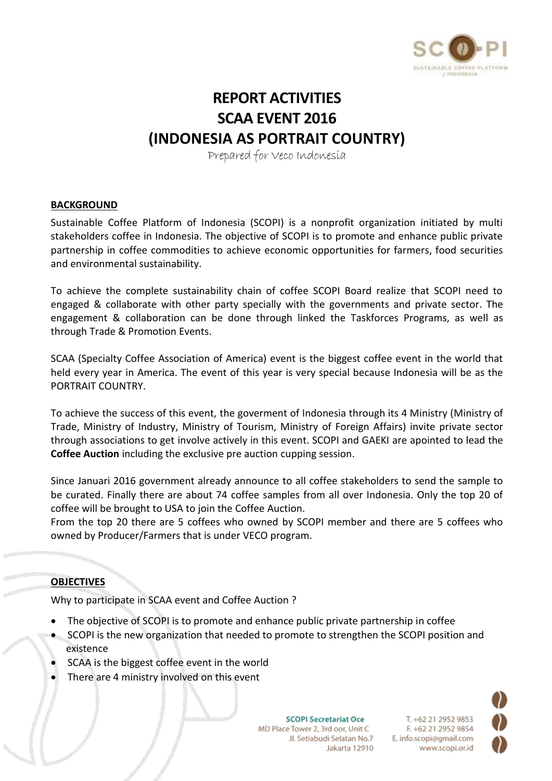

# **REPORT ACTIVITIES SCAA EVENT 2016 (INDONESIA AS PORTRAIT COUNTRY)**

Prepared for Veco Indonesia

#### **BACKGROUND**

Sustainable Coffee Platform of Indonesia (SCOPI) is a nonprofit organization initiated by multi stakeholders coffee in Indonesia. The objective of SCOPI is to promote and enhance public private partnership in coffee commodities to achieve economic opportunities for farmers, food securities and environmental sustainability.

To achieve the complete sustainability chain of coffee SCOPI Board realize that SCOPI need to engaged & collaborate with other party specially with the governments and private sector. The engagement & collaboration can be done through linked the Taskforces Programs, as well as through Trade & Promotion Events.

SCAA (Specialty Coffee Association of America) event is the biggest coffee event in the world that held every year in America. The event of this year is very special because Indonesia will be as the PORTRAIT COUNTRY.

To achieve the success of this event, the goverment of Indonesia through its 4 Ministry (Ministry of Trade, Ministry of Industry, Ministry of Tourism, Ministry of Foreign Affairs) invite private sector through associations to get involve actively in this event. SCOPI and GAEKI are apointed to lead the **Coffee Auction** including the exclusive pre auction cupping session.

Since Januari 2016 government already announce to all coffee stakeholders to send the sample to be curated. Finally there are about 74 coffee samples from all over Indonesia. Only the top 20 of coffee will be brought to USA to join the Coffee Auction.

From the top 20 there are 5 coffees who owned by SCOPI member and there are 5 coffees who owned by Producer/Farmers that is under VECO program.

#### **OBJECTIVES**

Why to participate in SCAA event and Coffee Auction ?

- The objective of SCOPI is to promote and enhance public private partnership in coffee
- SCOPI is the new organization that needed to promote to strengthen the SCOPI position and existence
- SCAA is the biggest coffee event in the world
- There are 4 ministry involved on this event

**SCOPI Secretariat Oce** MD Place Tower 2, 3rd oor, Unit C Jl. Setiabudi Selatan No.7 Jakarta 12910

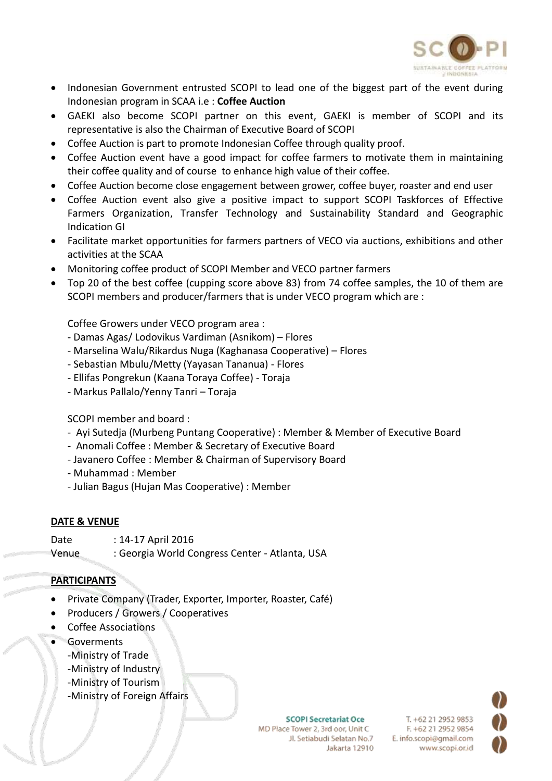

- Indonesian Government entrusted SCOPI to lead one of the biggest part of the event during Indonesian program in SCAA i.e : **Coffee Auction**
- GAEKI also become SCOPI partner on this event, GAEKI is member of SCOPI and its representative is also the Chairman of Executive Board of SCOPI
- Coffee Auction is part to promote Indonesian Coffee through quality proof.
- Coffee Auction event have a good impact for coffee farmers to motivate them in maintaining their coffee quality and of course to enhance high value of their coffee.
- Coffee Auction become close engagement between grower, coffee buyer, roaster and end user
- Coffee Auction event also give a positive impact to support SCOPI Taskforces of Effective Farmers Organization, Transfer Technology and Sustainability Standard and Geographic Indication GI
- Facilitate market opportunities for farmers partners of VECO via auctions, exhibitions and other activities at the SCAA
- Monitoring coffee product of SCOPI Member and VECO partner farmers
- Top 20 of the best coffee (cupping score above 83) from 74 coffee samples, the 10 of them are SCOPI members and producer/farmers that is under VECO program which are :

Coffee Growers under VECO program area :

- Damas Agas/ Lodovikus Vardiman (Asnikom) Flores
- Marselina Walu/Rikardus Nuga (Kaghanasa Cooperative) Flores
- Sebastian Mbulu/Metty (Yayasan Tananua) Flores
- Ellifas Pongrekun (Kaana Toraya Coffee) Toraja
- Markus Pallalo/Yenny Tanri Toraja

SCOPI member and board :

- Ayi Sutedja (Murbeng Puntang Cooperative) : Member & Member of Executive Board
- Anomali Coffee : Member & Secretary of Executive Board
- Javanero Coffee : Member & Chairman of Supervisory Board
- Muhammad : Member
- Julian Bagus (Hujan Mas Cooperative) : Member

## **DATE & VENUE**

Date : 14-17 April 2016 Venue : Georgia World Congress Center - Atlanta, USA

## **PARTICIPANTS**

- Private Company (Trader, Exporter, Importer, Roaster, Café)
- Producers / Growers / Cooperatives
- Coffee Associations
- **•** Goverments
	- -Ministry of Trade
	- -Ministry of Industry
	- -Ministry of Tourism
	- -Ministry of Foreign Affairs

**SCOPI Secretariat Oce** MD Place Tower 2, 3rd oor, Unit C Jl. Setiabudi Selatan No.7 Jakarta 12910

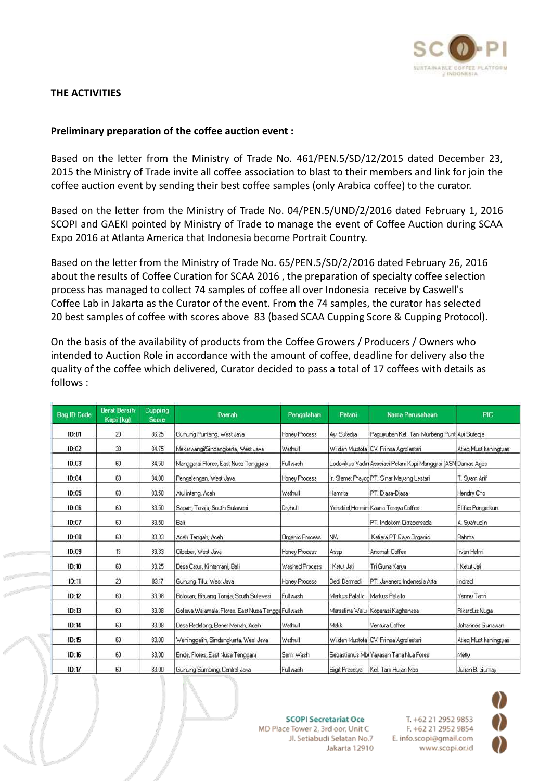

# **THE ACTIVITIES**

#### **Preliminary preparation of the coffee auction event :**

Based on the letter from the Ministry of Trade No. 461/PEN.5/SD/12/2015 dated December 23, 2015 the Ministry of Trade invite all coffee association to blast to their members and link for join the coffee auction event by sending their best coffee samples (only Arabica coffee) to the curator.

Based on the letter from the Ministry of Trade No. 04/PEN.5/UND/2/2016 dated February 1, 2016 SCOPI and GAEKI pointed by Ministry of Trade to manage the event of Coffee Auction during SCAA Expo 2016 at Atlanta America that Indonesia become Portrait Country.

Based on the letter from the Ministry of Trade No. 65/PEN.5/SD/2/2016 dated February 26, 2016 about the results of Coffee Curation for SCAA 2016 , the preparation of specialty coffee selection process has managed to collect 74 samples of coffee all over Indonesia receive by Caswell's Coffee Lab in Jakarta as the Curator of the event. From the 74 samples, the curator has selected 20 best samples of coffee with scores above 83 (based SCAA Cupping Score & Cupping Protocol).

On the basis of the availability of products from the Coffee Growers / Producers / Owners who intended to Auction Role in accordance with the amount of coffee, deadline for delivery also the quality of the coffee which delivered, Curator decided to pass a total of 17 coffees with details as follows :

| <b>Bag ID Code</b> | <b>Berat Bersih</b><br>Kopi (kg) | Cupping<br><b>Score</b> | Daerah                                              | Pengolahan             | Petani         | Nama Perusahaan                                               | <b>PIC</b>            |
|--------------------|----------------------------------|-------------------------|-----------------------------------------------------|------------------------|----------------|---------------------------------------------------------------|-----------------------|
| ID:01              | 20                               | 86.25                   | Gunung Puntang, West Java                           | Honey Process          | Avi Sutedia    | Paguyuban Kel. Tani Murbeng Punt Ayi Sutedia                  |                       |
| ID:02              | 33                               | 84.75                   | Mekarwangi/Sindangkerta, West Java                  | Wethull                |                | Wildan Mustofa CV. Frinsa Agrolestari                         | Alieg Muslikaningtyas |
| ID:03              | 60                               | 84.50                   | Manggarai Flores, East Nusa Tenggara                | Fullwash               |                | Lodovikus Vadin Asosiasi Petani Kopi Manggrai (ASN Damas Agas |                       |
| ID:04              | 60                               | 84.00                   | Pengalengan, West Java                              | Honey Process          |                | Ir. Slamet Prayog PT. Sinar Mayang Lestari                    | T. Syam Arif          |
| ID:05              | 60                               | 83.58                   | Atulintang, Aceh                                    | Wethull                | Harnrita       | PT. Diasa-Diasa                                               | Hendru Cho            |
| ID:06              | 60                               | 83.50                   | Sapan, Toraja, South Sulawesi                       | Dryhull                |                | Yehzkiel Hermin Kaana Torava Coffee                           | Elifas Pongrekun      |
| ID:07              | 60                               | 83.50                   | Bali                                                |                        |                | PT. Indokom Citrapersada                                      | A Svafrudin           |
| ID:08              | 60                               | 83.33                   | Aceh Tengah, Aceh                                   | <b>Organic Process</b> | <b>NA</b>      | Ketiara PT Gayo Organic                                       | Rahma                 |
| 1D:09              | 13                               | 83.33                   | Cibeber, West Java                                  | Honey Process          | Asep           | Anomali Coffee                                                | Irvan Helmi           |
| ID:10              | 60                               | 83.25                   | Desa Catur, Kintamani, Bali                         | Washed Process         | I Ketut Jati   | Tri Guna Karya                                                | I Ketut Jati          |
| ID:11              | 20                               | 83.17                   | Gunung Tilu, West Java                              | Honey Process          | Dedi Darmadi   | PT. Javanero Indonesia Arta                                   | Indradi               |
| ID:12              | 60                               | 83.08                   | Bolokan, Bituang Toraja, South Sulawesi             | Fullwash               | Markus Palallo | Markus Palallo                                                | Yenny Tanri           |
| ID:13              | 60                               | 83.08                   | Golewa, Wajamala, Flores, East Nusa Tengga Fullwash |                        |                | Marselina Walu Koperasi Kaghanasa                             | Rikardus Nuga         |
| ID:14              | 60                               | 83.08                   | Desa Redelong, Bener Meriah, Aceh                   | Wethull                | Malik          | Ventura Coffee                                                | Johannes Gunawan      |
| ID:15              | 60                               | 83.00                   | Weninggalih, Sindangkerta, West Java                | Wethull                |                | Wildan Mustofa CV. Frinsa Agrolestari                         | Atieg Mustikaningtyas |
| ID:16              | 60                               | 83.00                   | Ende, Flores, East Nusa Tenggara                    | Semi Wash              |                | Sebastianus Mbi Yayasan Tana Nua Fores                        | Metty                 |
| ID:17              | 60                               | 83.00                   | Gunung Sumbing, Central Java                        | Fullwash               | Sigit Prasetya | Kel. Tani Hujan Mas                                           | Julian B. Gumay       |



**SCOPI Secretariat Oce** MD Place Tower 2, 3rd oor, Unit C Jl. Setiabudi Selatan No.7 Jakarta 12910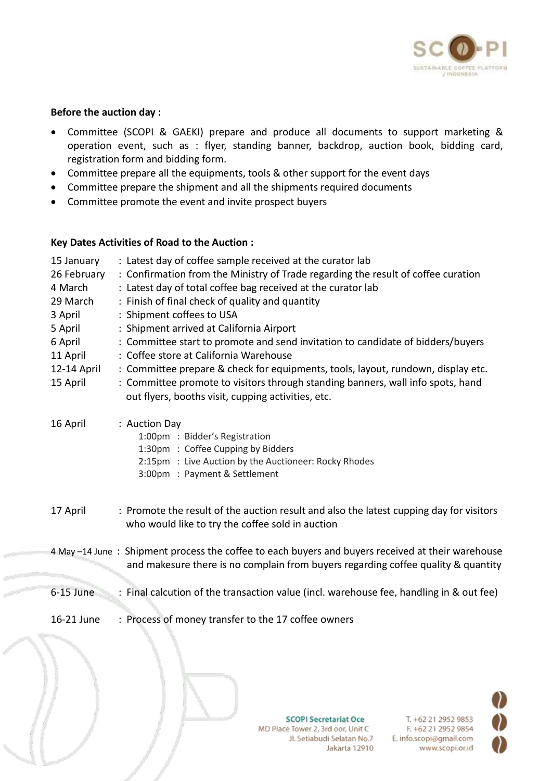

#### **Before the auction day :**

- Committee (SCOPI & GAEKI) prepare and produce all documents to support marketing & operation event, such as : flyer, standing banner, backdrop, auction book, bidding card, registration form and bidding form.
- Committee prepare all the equipments, tools & other support for the event days
- Committee prepare the shipment and all the shipments required documents
- Committee promote the event and invite prospect buyers

#### **Key Dates Activities of Road to the Auction :**

| 15 January  | : Latest day of coffee sample received at the curator lab                                         |
|-------------|---------------------------------------------------------------------------------------------------|
| 26 February | : Confirmation from the Ministry of Trade regarding the result of coffee curation                 |
| 4 March     | : Latest day of total coffee bag received at the curator lab                                      |
| 29 March    | : Finish of final check of quality and quantity                                                   |
| 3 April     | : Shipment coffees to USA                                                                         |
| 5 April     | : Shipment arrived at California Airport                                                          |
| 6 April     | : Committee start to promote and send invitation to candidate of bidders/buyers                   |
| 11 April    | : Coffee store at California Warehouse                                                            |
| 12-14 April | : Committee prepare & check for equipments, tools, layout, rundown, display etc.                  |
| 15 April    | : Committee promote to visitors through standing banners, wall info spots, hand                   |
|             | out flyers, booths visit, cupping activities, etc.                                                |
|             |                                                                                                   |
| 16 April    | : Auction Day<br>1:00pm : Bidder's Registration                                                   |
|             | 1:30pm : Coffee Cupping by Bidders                                                                |
|             | 2:15pm : Live Auction by the Auctioneer: Rocky Rhodes                                             |
|             | 3:00pm : Payment & Settlement                                                                     |
|             |                                                                                                   |
|             |                                                                                                   |
| 17 April    | : Promote the result of the auction result and also the latest cupping day for visitors           |
|             | who would like to try the coffee sold in auction                                                  |
|             | 4 May -14 June: Shipment process the coffee to each buyers and buyers received at their warehouse |
|             | and makesure there is no complain from buyers regarding coffee quality & quantity                 |
|             |                                                                                                   |
| $6-15$ June | : Final calcution of the transaction value (incl. warehouse fee, handling in & out fee)           |
|             |                                                                                                   |
| 16-21 June  | : Process of money transfer to the 17 coffee owners                                               |
|             |                                                                                                   |



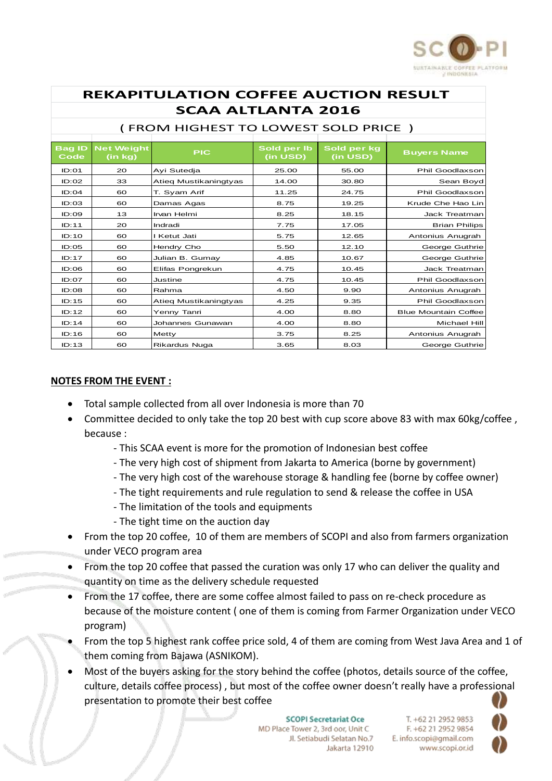

| <b>REKAPITULATION COFFEE AUCTION RESULT</b>                      |                              |                       |                         |                         |                             |  |  |  |  |  |
|------------------------------------------------------------------|------------------------------|-----------------------|-------------------------|-------------------------|-----------------------------|--|--|--|--|--|
| <b>SCAA ALTLANTA 2016</b><br>(FROM HIGHEST TO LOWEST SOLD PRICE) |                              |                       |                         |                         |                             |  |  |  |  |  |
| <b>Bag ID</b><br>Code                                            | <b>Net Weight</b><br>(in kg) | <b>PIC</b>            | Sold per Ib<br>(in USD) | Sold per kg<br>(in USD) | <b>Buyers Name</b>          |  |  |  |  |  |
| ID:01                                                            | 20                           | Ayi Sutedja           | 25.00                   | 55.00                   | Phil Goodlaxson             |  |  |  |  |  |
| ID:O2                                                            | 33                           | Atieq Mustikaningtyas | 14.00                   | 30.80                   | Sean Boyd                   |  |  |  |  |  |
| ID:04                                                            | 60                           | T. Syam Arif          | 11.25                   | 24.75                   | Phil Goodlaxson             |  |  |  |  |  |
| ID:03                                                            | 60                           | Damas Agas            | 8.75                    | 19.25                   | Krude Che Hao Lin           |  |  |  |  |  |
| ID:OO9                                                           | 13                           | Irvan Helmi           | 8.25                    | 18.15                   | Jack Treatman               |  |  |  |  |  |
| ID:11                                                            | 20                           | Indradi               | 7.75                    | 17.05                   | <b>Brian Philips</b>        |  |  |  |  |  |
| ID:10                                                            | 60                           | I Ketut Jati          | 5.75                    | 12.65                   | Antonius Anugrah            |  |  |  |  |  |
| ID:O5                                                            | 60                           | Hendry Cho            | 5.50                    | 12.10                   | George Guthrie              |  |  |  |  |  |
| ID:17                                                            | 60                           | Julian B. Gumay       | 4.85                    | 10.67                   | George Guthrie              |  |  |  |  |  |
| ID:OG                                                            | 60                           | Elifas Pongrekun      | 4.75                    | 10.45                   | <b>Jack Treatman</b>        |  |  |  |  |  |
| ID:O7                                                            | 60                           | Justine               | 4.75                    | 10.45                   | Phil Goodlaxson             |  |  |  |  |  |
| ID:08                                                            | 60                           | Rahma                 | 4.50                    | 9.90                    | Antonius Anugrah            |  |  |  |  |  |
| ID:15                                                            | 60                           | Atieg Mustikaningtyas | 4.25                    | 9.35                    | Phil Goodlaxson             |  |  |  |  |  |
| ID:12                                                            | 60                           | Yenny Tanri           | 4.00                    | 8.80                    | <b>Blue Mountain Coffee</b> |  |  |  |  |  |
| ID:14                                                            | 60                           | Johannes Gunawan      | 4.00                    | 8.80                    | Michael Hill                |  |  |  |  |  |
| ID:16                                                            | 60                           | Metty                 | 3.75                    | 8.25                    | Antonius Anugrah            |  |  |  |  |  |
| ID:13                                                            | 60                           | <b>Rikardus Nuga</b>  | 3.65                    | 8.03                    | George Guthrie              |  |  |  |  |  |

## **NOTES FROM THE EVENT :**

- Total sample collected from all over Indonesia is more than 70
- Committee decided to only take the top 20 best with cup score above 83 with max 60kg/coffee , because :
	- This SCAA event is more for the promotion of Indonesian best coffee
	- The very high cost of shipment from Jakarta to America (borne by government)
	- The very high cost of the warehouse storage & handling fee (borne by coffee owner)
	- The tight requirements and rule regulation to send & release the coffee in USA
	- The limitation of the tools and equipments
	- The tight time on the auction day
- From the top 20 coffee, 10 of them are members of SCOPI and also from farmers organization under VECO program area
- From the top 20 coffee that passed the curation was only 17 who can deliver the quality and quantity on time as the delivery schedule requested
- From the 17 coffee, there are some coffee almost failed to pass on re-check procedure as because of the moisture content ( one of them is coming from Farmer Organization under VECO program)
- From the top 5 highest rank coffee price sold, 4 of them are coming from West Java Area and 1 of them coming from Bajawa (ASNIKOM).
- Most of the buyers asking for the story behind the coffee (photos, details source of the coffee, culture, details coffee process) , but most of the coffee owner doesn't really have a professional presentation to promote their best coffee

**SCOPI Secretariat Oce** MD Place Tower 2, 3rd oor, Unit C Jl. Setiabudi Selatan No.7 Jakarta 12910

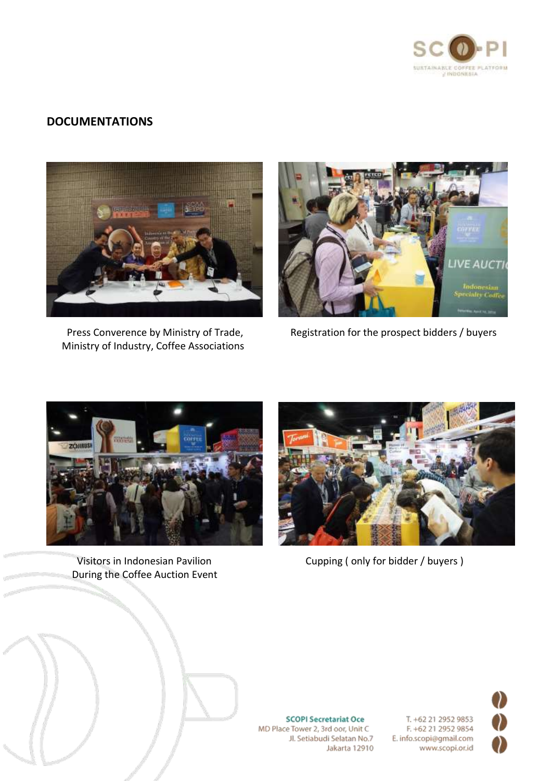

# **DOCUMENTATIONS**



Ministry of Industry, Coffee Associations



Press Converence by Ministry of Trade, Registration for the prospect bidders / buyers



During the Coffee Auction Event



Visitors in Indonesian Pavilion **Cupping ( only for bidder / buyers )** Cupping ( only for bidder / buyers )



**SCOPI Secretariat Oce** MD Place Tower 2, 3rd oor, Unit C Jl. Setiabudi Selatan No.7 Jakarta 12910